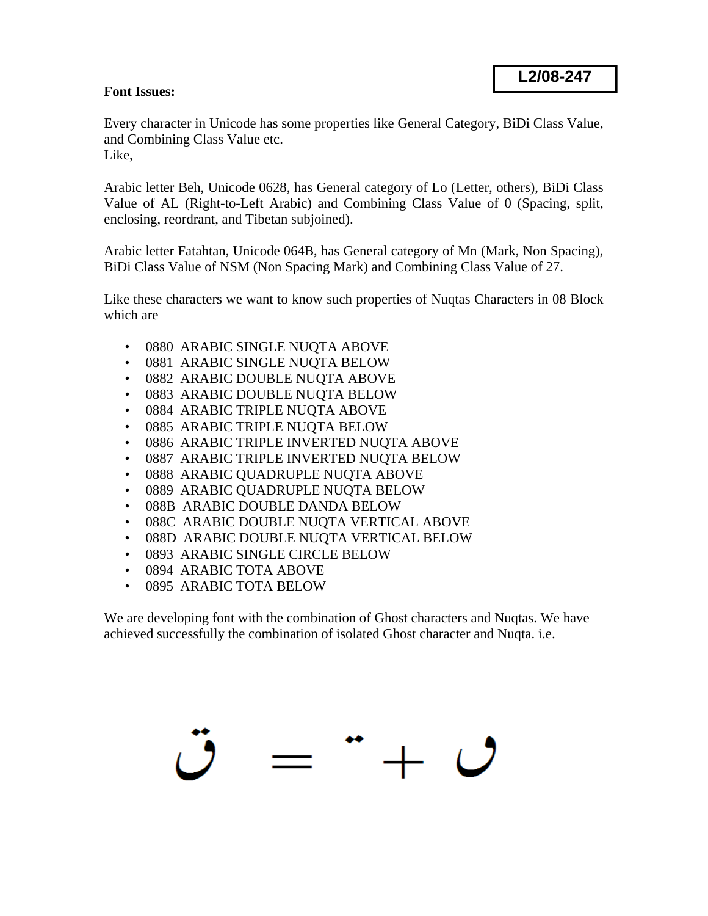## **L2/08-247**

## **Font Issues:**

Every character in Unicode has some properties like General Category, BiDi Class Value, and Combining Class Value etc. Like,

Arabic letter Beh, Unicode 0628, has General category of Lo (Letter, others), BiDi Class Value of AL (Right-to-Left Arabic) and Combining Class Value of 0 (Spacing, split, enclosing, reordrant, and Tibetan subjoined).

Arabic letter Fatahtan, Unicode 064B, has General category of Mn (Mark, Non Spacing), BiDi Class Value of NSM (Non Spacing Mark) and Combining Class Value of 27.

Like these characters we want to know such properties of Nuqtas Characters in 08 Block which are

- 0880 ARABIC SINGLE NUQTA ABOVE
- 0881 ARABIC SINGLE NUQTA BELOW
- 0882 ARABIC DOUBLE NUQTA ABOVE
- 0883 ARABIC DOUBLE NUQTA BELOW
- 0884 ARABIC TRIPLE NUQTA ABOVE
- 0885 ARABIC TRIPLE NUQTA BELOW
- 0886 ARABIC TRIPLE INVERTED NUQTA ABOVE
- 0887 ARABIC TRIPLE INVERTED NUQTA BELOW
- 0888 ARABIC QUADRUPLE NUQTA ABOVE
- 0889 ARABIC QUADRUPLE NUQTA BELOW
- 088B ARABIC DOUBLE DANDA BELOW
- 088C ARABIC DOUBLE NUQTA VERTICAL ABOVE
- 088D ARABIC DOUBLE NUQTA VERTICAL BELOW
- 0893 ARABIC SINGLE CIRCLE BELOW
- 0894 ARABIC TOTA ABOVE
- 0895 ARABIC TOTA BELOW

We are developing font with the combination of Ghost characters and Nuqtas. We have achieved successfully the combination of isolated Ghost character and Nuqta. i.e.